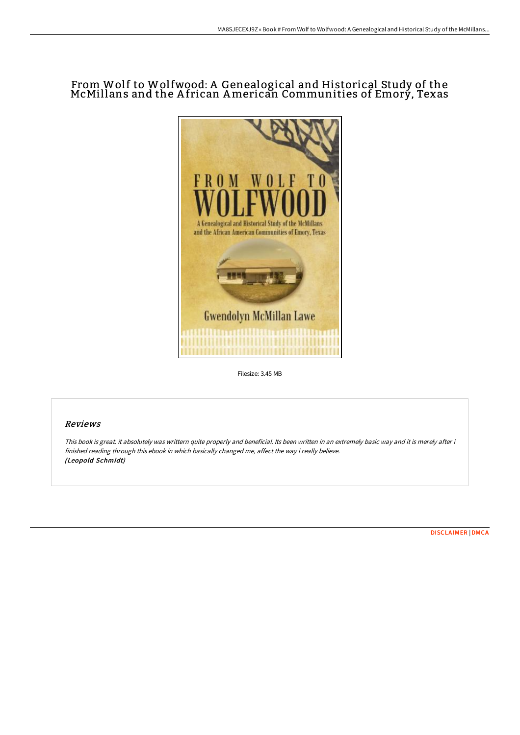## From Wolf to Wolfwood: A Genealogical and Historical Study of the McMillans and the A frican American Communities of Emory, Texas



Filesize: 3.45 MB

## Reviews

This book is great. it absolutely was writtern quite properly and beneficial. Its been written in an extremely basic way and it is merely after i finished reading through this ebook in which basically changed me, affect the way i really believe. (Leopold Schmidt)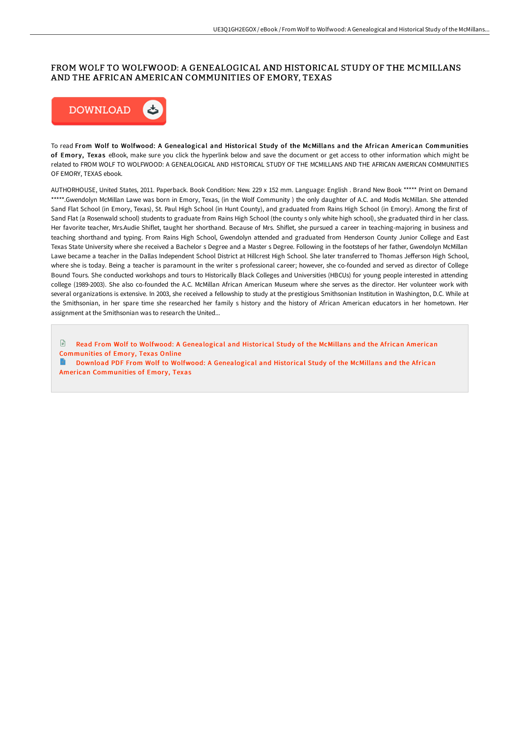## FROM WOLF TO WOLFWOOD: A GENEALOGICAL AND HISTORICAL STUDY OF THE MCMILLANS AND THE AFRICAN AMERICAN COMMUNITIES OF EMORY, TEXAS



To read From Wolf to Wolfwood: A Genealogical and Historical Study of the McMillans and the African American Communities of Emory, Texas eBook, make sure you click the hyperlink below and save the document or get access to other information which might be related to FROM WOLF TO WOLFWOOD: A GENEALOGICAL AND HISTORICAL STUDY OF THE MCMILLANS AND THE AFRICAN AMERICAN COMMUNITIES OF EMORY, TEXAS ebook.

AUTHORHOUSE, United States, 2011. Paperback. Book Condition: New. 229 x 152 mm. Language: English . Brand New Book \*\*\*\*\* Print on Demand \*\*\*\*\*.Gwendolyn McMillan Lawe was born in Emory, Texas, (in the Wolf Community ) the only daughter of A.C. and Modis McMillan. She attended Sand Flat School (in Emory, Texas), St. Paul High School (in Hunt County), and graduated from Rains High School (in Emory). Among the first of Sand Flat (a Rosenwald school) students to graduate from Rains High School (the county s only white high school), she graduated third in her class. Her favorite teacher, Mrs.Audie Shiflet, taught her shorthand. Because of Mrs. Shiflet, she pursued a career in teaching-majoring in business and teaching shorthand and typing. From Rains High School, Gwendolyn attended and graduated from Henderson County Junior College and East Texas State University where she received a Bachelor s Degree and a Master s Degree. Following in the footsteps of her father, Gwendolyn McMillan Lawe became a teacher in the Dallas Independent School District at Hillcrest High School. She later transferred to Thomas Jefferson High School, where she is today. Being a teacher is paramount in the writer s professional career; however, she co-founded and served as director of College Bound Tours. She conducted workshops and tours to Historically Black Colleges and Universities (HBCUs) for young people interested in attending college (1989-2003). She also co-founded the A.C. McMillan African American Museum where she serves as the director. Her volunteer work with several organizations is extensive. In 2003, she received a fellowship to study at the prestigious Smithsonian Institution in Washington, D.C. While at the Smithsonian, in her spare time she researched her family s history and the history of African American educators in her hometown. Her assignment at the Smithsonian was to research the United...

 $\blacksquare$ Read From Wolf to Wolfwood: A [Genealogical](http://digilib.live/from-wolf-to-wolfwood-a-genealogical-and-histori.html) and Historical Study of the McMillans and the African American Communities of Emory, Texas Online

Download PDF From Wolf to Wolfwood: A [Genealogical](http://digilib.live/from-wolf-to-wolfwood-a-genealogical-and-histori.html) and Historical Study of the McMillans and the African American Communities of Emory, Texas